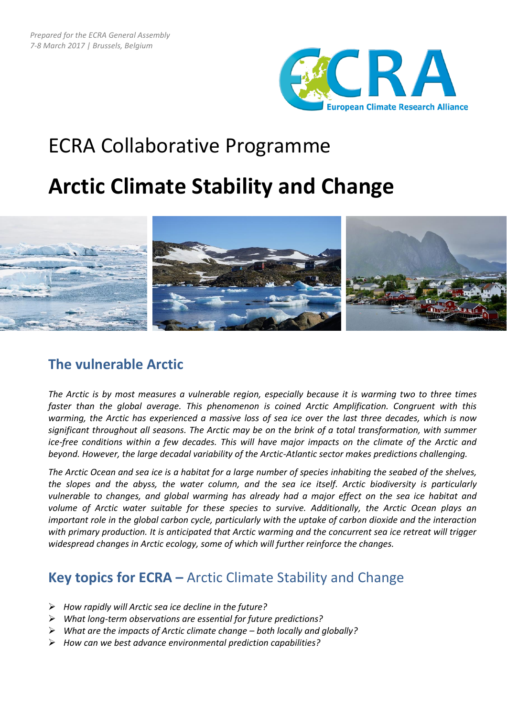

# ECRA Collaborative Programme

## **Arctic Climate Stability and Change**



### **The vulnerable Arctic**

*The Arctic is by most measures a vulnerable region, especially because it is warming two to three times faster than the global average. This phenomenon is coined Arctic Amplification. Congruent with this warming, the Arctic has experienced a massive loss of sea ice over the last three decades, which is now significant throughout all seasons. The Arctic may be on the brink of a total transformation, with summer ice-free conditions within a few decades. This will have major impacts on the climate of the Arctic and beyond. However, the large decadal variability of the Arctic-Atlantic sector makes predictions challenging.*

*The Arctic Ocean and sea ice is a habitat for a large number of species inhabiting the seabed of the shelves, the slopes and the abyss, the water column, and the sea ice itself. Arctic biodiversity is particularly vulnerable to changes, and global warming has already had a major effect on the sea ice habitat and volume of Arctic water suitable for these species to survive. Additionally, the Arctic Ocean plays an important role in the global carbon cycle, particularly with the uptake of carbon dioxide and the interaction with primary production. It is anticipated that Arctic warming and the concurrent sea ice retreat will trigger widespread changes in Arctic ecology, some of which will further reinforce the changes.*

## **Key topics for ECRA –** Arctic Climate Stability and Change

- *How rapidly will Arctic sea ice decline in the future?*
- *What long-term observations are essential for future predictions?*
- *What are the impacts of Arctic climate change – both locally and globally?*
- *How can we best advance environmental prediction capabilities?*